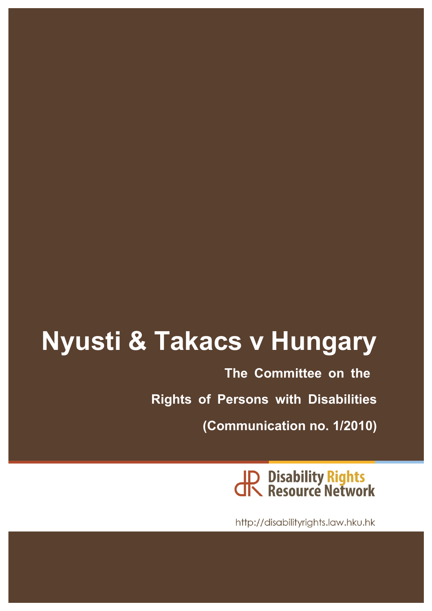# **Nyusti & Takacs v Hungary**

**The Committee on the Rights of Persons with Disabilities (Communication no. 1/2010)**

JP Disability Rights<br>JR Resource Network

http://disabilityrights.law.hku.hk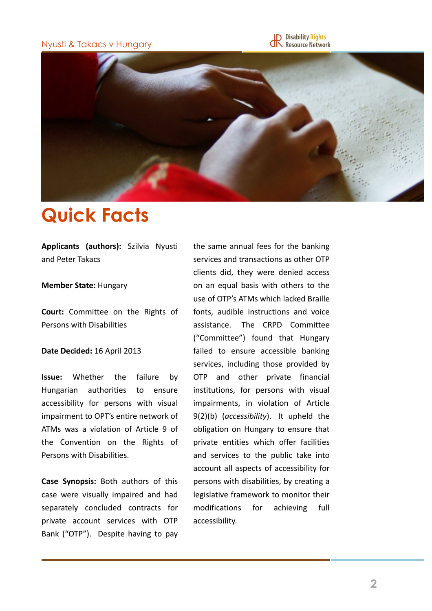Nyusti & Takacs v Hungary





### **Quick Facts**

**Applicants (authors):**  Szilvia Nyusti and Peter Takacs

#### **Member State: Hungary**

**Court:** Committee on the Rights of Persons with Disabilities

#### **Date Decided: 16 April 2013**

**Issue:** Whether the failure by Hungarian authorities to ensure accessibility for persons with visual impairment to OPT's entire network of ATMs was a violation of Article 9 of the Convention on the Rights of Persons with Disabilities.

**Case Synopsis:** Both authors of this case were visually impaired and had separately concluded contracts for private account services with OTP Bank ("OTP"). Despite having to pay

the same annual fees for the banking services and transactions as other OTP clients did, they were denied access on an equal basis with others to the use of OTP's ATMs which lacked Braille fonts, audible instructions and voice assistance. The CRPD Committee ("Committee") found that Hungary failed to ensure accessible banking services, including those provided by OTP and other private financial institutions, for persons with visual impairments, in violation of Article 9(2)(b) (*accessibility*). It upheld the obligation on Hungary to ensure that private entities which offer facilities and services to the public take into account all aspects of accessibility for persons with disabilities, by creating a legislative framework to monitor their modifications for achieving full accessibility.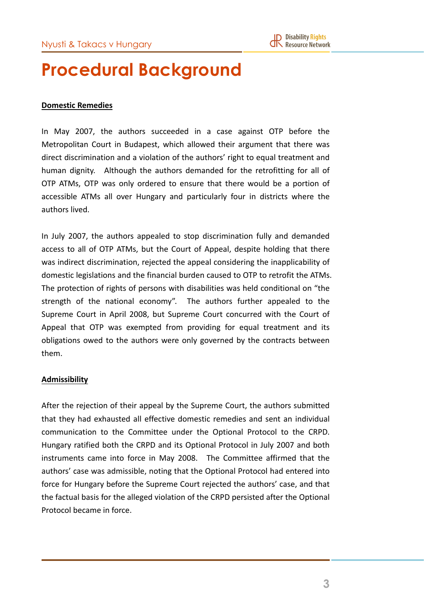### **Procedural Background**

#### **Domestic Remedies**

In May 2007, the authors succeeded in a case against OTP before the Metropolitan Court in Budapest, which allowed their argument that there was direct discrimination and a violation of the authors' right to equal treatment and human dignity. Although the authors demanded for the retrofitting for all of OTP ATMs, OTP was only ordered to ensure that there would be a portion of accessible ATMs all over Hungary and particularly four in districts where the authors lived.

In July 2007, the authors appealed to stop discrimination fully and demanded access to all of OTP ATMs, but the Court of Appeal, despite holding that there was indirect discrimination, rejected the appeal considering the inapplicability of domestic legislations and the financial burden caused to OTP to retrofit the ATMs. The protection of rights of persons with disabilities was held conditional on "the strength of the national economy". The authors further appealed to the Supreme Court in April 2008, but Supreme Court concurred with the Court of Appeal that OTP was exempted from providing for equal treatment and its obligations owed to the authors were only governed by the contracts between them. 

#### **Admissibility**

After the rejection of their appeal by the Supreme Court, the authors submitted that they had exhausted all effective domestic remedies and sent an individual communication to the Committee under the Optional Protocol to the CRPD. Hungary ratified both the CRPD and its Optional Protocol in July 2007 and both instruments came into force in May 2008. The Committee affirmed that the authors' case was admissible, noting that the Optional Protocol had entered into force for Hungary before the Supreme Court rejected the authors' case, and that the factual basis for the alleged violation of the CRPD persisted after the Optional Protocol became in force.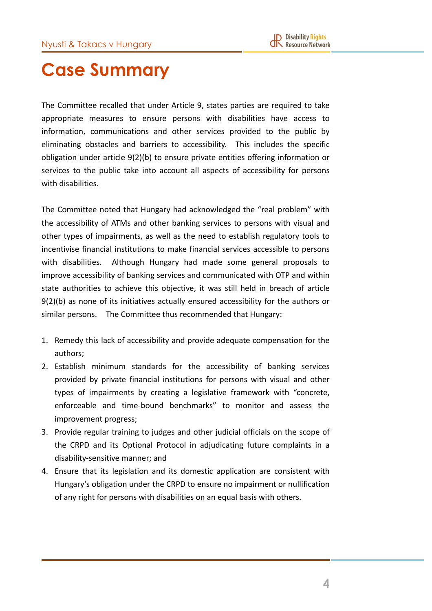### **Case Summary**

The Committee recalled that under Article 9, states parties are required to take appropriate measures to ensure persons with disabilities have access to information, communications and other services provided to the public by eliminating obstacles and barriers to accessibility. This includes the specific obligation under article 9(2)(b) to ensure private entities offering information or services to the public take into account all aspects of accessibility for persons with disabilities.

The Committee noted that Hungary had acknowledged the "real problem" with the accessibility of ATMs and other banking services to persons with visual and other types of impairments, as well as the need to establish regulatory tools to incentivise financial institutions to make financial services accessible to persons with disabilities. Although Hungary had made some general proposals to improve accessibility of banking services and communicated with OTP and within state authorities to achieve this objective, it was still held in breach of article  $9(2)(b)$  as none of its initiatives actually ensured accessibility for the authors or similar persons. The Committee thus recommended that Hungary:

- 1. Remedy this lack of accessibility and provide adequate compensation for the authors;
- 2. Establish minimum standards for the accessibility of banking services provided by private financial institutions for persons with visual and other types of impairments by creating a legislative framework with "concrete, enforceable and time-bound benchmarks" to monitor and assess the improvement progress;
- 3. Provide regular training to judges and other judicial officials on the scope of the CRPD and its Optional Protocol in adjudicating future complaints in a disability-sensitive manner; and
- 4. Ensure that its legislation and its domestic application are consistent with Hungary's obligation under the CRPD to ensure no impairment or nullification of any right for persons with disabilities on an equal basis with others.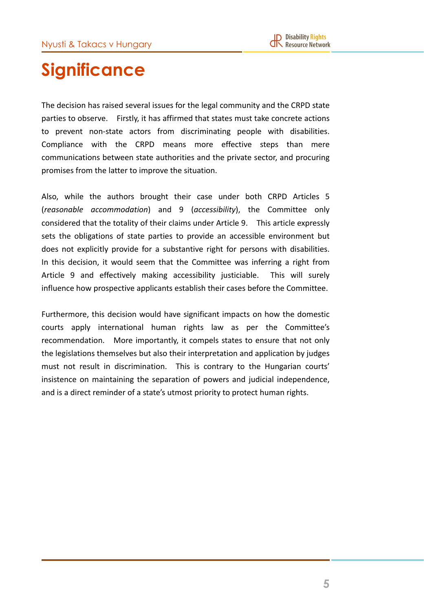## **Significance**

The decision has raised several issues for the legal community and the CRPD state parties to observe. Firstly, it has affirmed that states must take concrete actions to prevent non-state actors from discriminating people with disabilities. Compliance with the CRPD means more effective steps than mere communications between state authorities and the private sector, and procuring promises from the latter to improve the situation.

Also, while the authors brought their case under both CRPD Articles 5 (*reasonable accommodation*) and 9 (*accessibility*), the Committee only considered that the totality of their claims under Article 9. This article expressly sets the obligations of state parties to provide an accessible environment but does not explicitly provide for a substantive right for persons with disabilities. In this decision, it would seem that the Committee was inferring a right from Article 9 and effectively making accessibility justiciable. This will surely influence how prospective applicants establish their cases before the Committee.

Furthermore, this decision would have significant impacts on how the domestic courts apply international human rights law as per the Committee's recommendation. More importantly, it compels states to ensure that not only the legislations themselves but also their interpretation and application by judges must not result in discrimination. This is contrary to the Hungarian courts' insistence on maintaining the separation of powers and judicial independence, and is a direct reminder of a state's utmost priority to protect human rights.